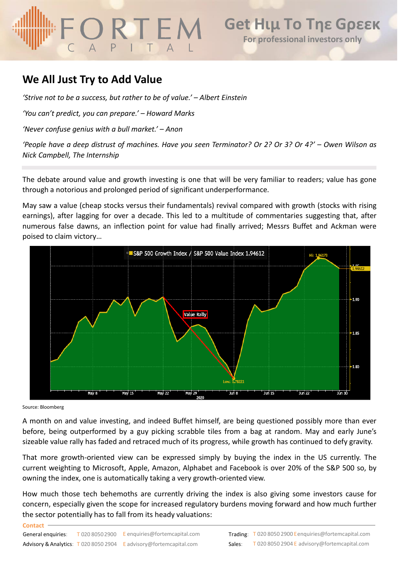## **We All Just Try to Add Value**

*'Strive not to be a success, but rather to be of value.' – Albert Einstein*

*'You can't predict, you can prepare.' – Howard Marks*

*'Never confuse genius with a bull market.' – Anon*

'People have a deep distrust of machines. Have you seen Terminator? Or 2? Or 3? Or 4?' – Owen Wilson as *Nick Campbell, The Internship*

The debate around value and growth investing is one that will be very familiar to readers; value has gone through a notorious and prolonged period of significant underperformance.

May saw a value (cheap stocks versus their fundamentals) revival compared with growth (stocks with rising earnings), after lagging for over a decade. This led to a multitude of commentaries suggesting that, after numerous false dawns, an inflection point for value had finally arrived; Messrs Buffet and Ackman were poised to claim victory…



Source: Bloomberg

**Contact**

A month on and value investing, and indeed Buffet himself, are being questioned possibly more than ever before, being outperformed by a guy picking scrabble tiles from a bag at random. May and early June's sizeable value rally has faded and retraced much of its progress, while growth has continued to defy gravity.

That more growth-oriented view can be expressed simply by buying the index in the US currently. The current weighting to Microsoft, Apple, Amazon, Alphabet and Facebook is over 20% of the S&P 500 so, by owning the index, one is automatically taking a very growth-oriented view.

How much those tech behemoths are currently driving the index is also giving some investors cause for concern, especially given the scope for increased regulatory burdens moving forward and how much further the sector potentially has to fall from its heady valuations: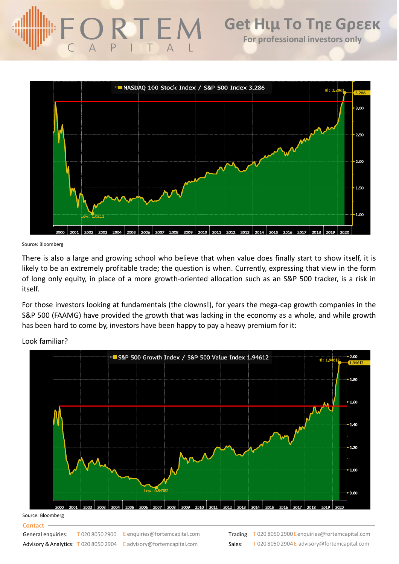

Source: Bloomberg

There is also a large and growing school who believe that when value does finally start to show itself, it is likely to be an extremely profitable trade; the question is when. Currently, expressing that view in the form of long only equity, in place of a more growth-oriented allocation such as an S&P 500 tracker, is a risk in itself.

For those investors looking at fundamentals (the clowns!), for years the mega-cap growth companies in the S&P 500 (FAAMG) have provided the growth that was lacking in the economy as a whole, and while growth has been hard to come by, investors have been happy to pay a heavy premium for it:



Look familiar?

### Source: Bloomberg

**Contact**

General enquiries:

Advisory & Analytics: T 020 8050 2904 E advisory@fortemcapital.com Sales: T 020 8050 2900 E enquiries @ fortemcapital.com

**Trading:** T 020 8050 2900 Eenquiries@fortemcapital.com T 020 8050 2904 E advisory@fortemcapital.com